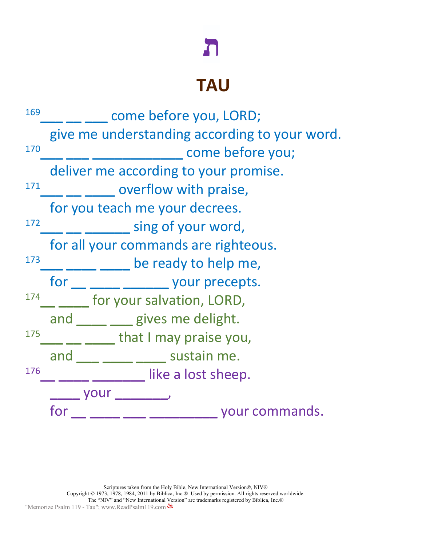## $\mathbf{L}$

## **TAU**

| 169 | come before you, LORD;                        |  |  |  |  |  |
|-----|-----------------------------------------------|--|--|--|--|--|
|     | give me understanding according to your word. |  |  |  |  |  |
| 170 | come before you;                              |  |  |  |  |  |
|     | deliver me according to your promise.         |  |  |  |  |  |
| 171 | overflow with praise,                         |  |  |  |  |  |
|     | for you teach me your decrees.                |  |  |  |  |  |
| 172 | sing of your word,                            |  |  |  |  |  |
| 173 | for all your commands are righteous.          |  |  |  |  |  |
|     | be ready to help me,                          |  |  |  |  |  |
|     | ____ ________ your precepts.<br>for           |  |  |  |  |  |
| 174 | for your salvation, LORD,                     |  |  |  |  |  |
|     | and gives me delight.                         |  |  |  |  |  |
| 175 | that I may praise you,                        |  |  |  |  |  |
|     | <u>___</u> _____ sustain me.<br>and           |  |  |  |  |  |
| 176 | like a lost sheep.                            |  |  |  |  |  |
|     | vour                                          |  |  |  |  |  |
|     | for<br>your commands.                         |  |  |  |  |  |
|     |                                               |  |  |  |  |  |